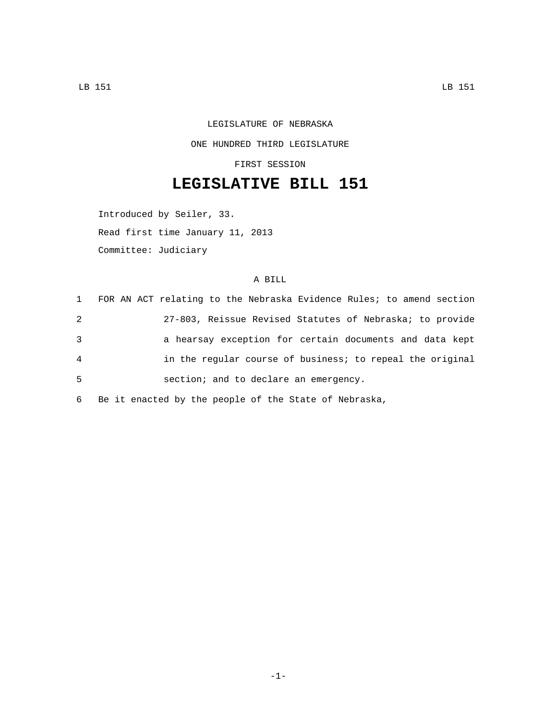## LEGISLATURE OF NEBRASKA ONE HUNDRED THIRD LEGISLATURE

FIRST SESSION

## **LEGISLATIVE BILL 151**

Introduced by Seiler, 33. Read first time January 11, 2013 Committee: Judiciary

## A BILL

|   | 1 FOR AN ACT relating to the Nebraska Evidence Rules; to amend section |
|---|------------------------------------------------------------------------|
| 2 | 27-803, Reissue Revised Statutes of Nebraska; to provide               |
| 3 | a hearsay exception for certain documents and data kept                |
| 4 | in the regular course of business; to repeal the original              |
| 5 | section; and to declare an emergency.                                  |
|   |                                                                        |

6 Be it enacted by the people of the State of Nebraska,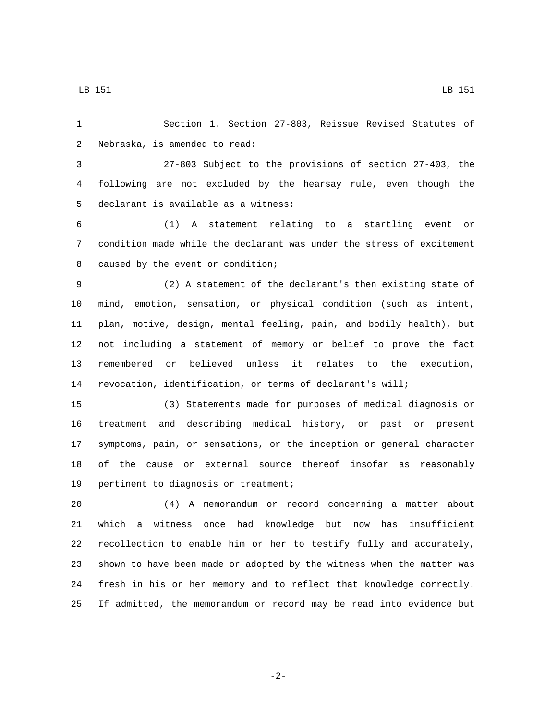Section 1. Section 27-803, Reissue Revised Statutes of 2 Nebraska, is amended to read:

 27-803 Subject to the provisions of section 27-403, the following are not excluded by the hearsay rule, even though the 5 declarant is available as a witness:

 (1) A statement relating to a startling event or condition made while the declarant was under the stress of excitement 8 caused by the event or condition;

 (2) A statement of the declarant's then existing state of mind, emotion, sensation, or physical condition (such as intent, plan, motive, design, mental feeling, pain, and bodily health), but not including a statement of memory or belief to prove the fact remembered or believed unless it relates to the execution, revocation, identification, or terms of declarant's will;

 (3) Statements made for purposes of medical diagnosis or treatment and describing medical history, or past or present symptoms, pain, or sensations, or the inception or general character of the cause or external source thereof insofar as reasonably 19 pertinent to diagnosis or treatment;

 (4) A memorandum or record concerning a matter about which a witness once had knowledge but now has insufficient recollection to enable him or her to testify fully and accurately, shown to have been made or adopted by the witness when the matter was fresh in his or her memory and to reflect that knowledge correctly. If admitted, the memorandum or record may be read into evidence but

-2-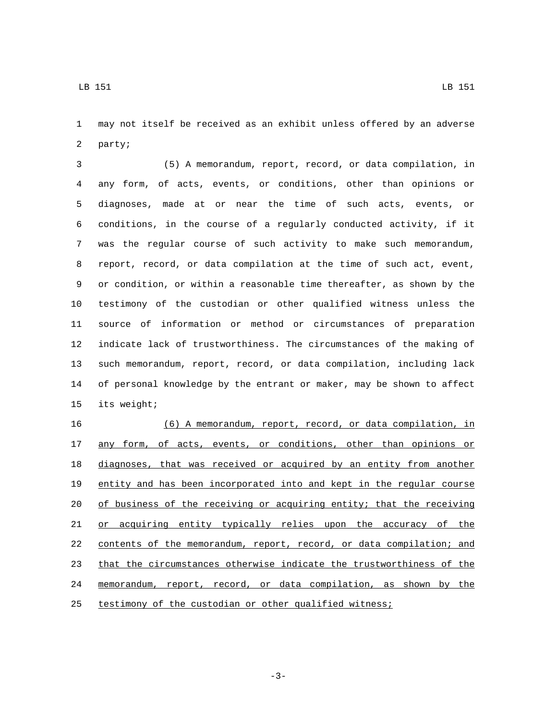may not itself be received as an exhibit unless offered by an adverse 2 party;

 (5) A memorandum, report, record, or data compilation, in any form, of acts, events, or conditions, other than opinions or diagnoses, made at or near the time of such acts, events, or conditions, in the course of a regularly conducted activity, if it was the regular course of such activity to make such memorandum, report, record, or data compilation at the time of such act, event, or condition, or within a reasonable time thereafter, as shown by the testimony of the custodian or other qualified witness unless the source of information or method or circumstances of preparation indicate lack of trustworthiness. The circumstances of the making of such memorandum, report, record, or data compilation, including lack of personal knowledge by the entrant or maker, may be shown to affect 15 its weight;

 (6) A memorandum, report, record, or data compilation, in 17 any form, of acts, events, or conditions, other than opinions or diagnoses, that was received or acquired by an entity from another entity and has been incorporated into and kept in the regular course 20 of business of the receiving or acquiring entity; that the receiving or acquiring entity typically relies upon the accuracy of the contents of the memorandum, report, record, or data compilation; and that the circumstances otherwise indicate the trustworthiness of the memorandum, report, record, or data compilation, as shown by the testimony of the custodian or other qualified witness;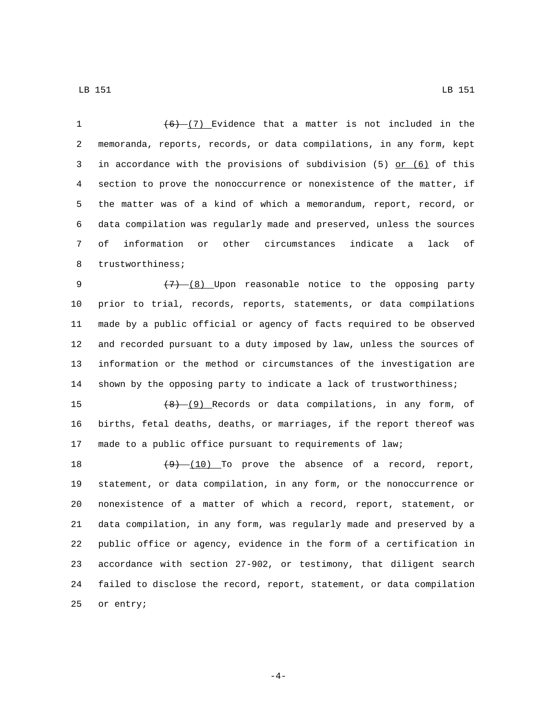LB 151 LB 151

 $(6)$   $(7)$  Evidence that a matter is not included in the memoranda, reports, records, or data compilations, in any form, kept 3 in accordance with the provisions of subdivision  $(5)$  or  $(6)$  of this section to prove the nonoccurrence or nonexistence of the matter, if the matter was of a kind of which a memorandum, report, record, or data compilation was regularly made and preserved, unless the sources of information or other circumstances indicate a lack of 8 trustworthiness;

 $(7)$   $(8)$  Upon reasonable notice to the opposing party prior to trial, records, reports, statements, or data compilations made by a public official or agency of facts required to be observed and recorded pursuant to a duty imposed by law, unless the sources of information or the method or circumstances of the investigation are shown by the opposing party to indicate a lack of trustworthiness;

15  $(8)-(9)$  Records or data compilations, in any form, of births, fetal deaths, deaths, or marriages, if the report thereof was made to a public office pursuant to requirements of law;

 $(9)$   $(10)$  To prove the absence of a record, report, statement, or data compilation, in any form, or the nonoccurrence or nonexistence of a matter of which a record, report, statement, or data compilation, in any form, was regularly made and preserved by a public office or agency, evidence in the form of a certification in accordance with section 27-902, or testimony, that diligent search failed to disclose the record, report, statement, or data compilation 25 or entry;

-4-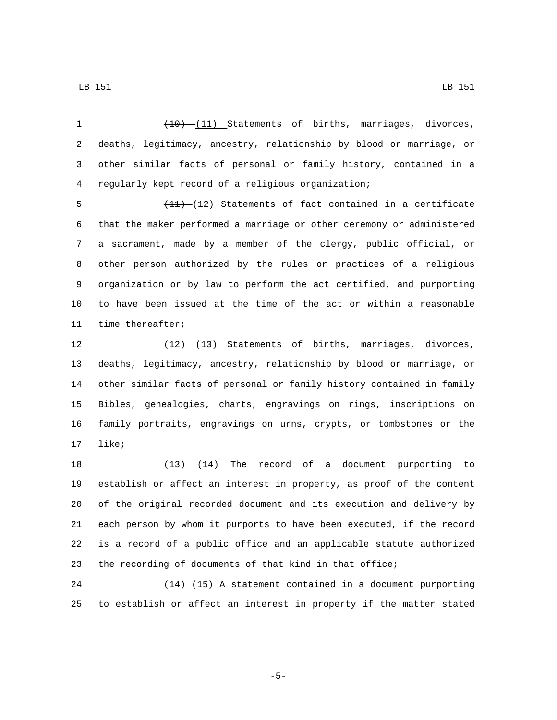1 (10) (11) Statements of births, marriages, divorces, deaths, legitimacy, ancestry, relationship by blood or marriage, or other similar facts of personal or family history, contained in a regularly kept record of a religious organization;4

 $\left(\frac{11}{12}\right)$  Statements of fact contained in a certificate that the maker performed a marriage or other ceremony or administered a sacrament, made by a member of the clergy, public official, or other person authorized by the rules or practices of a religious organization or by law to perform the act certified, and purporting to have been issued at the time of the act or within a reasonable 11 time thereafter;

12 (12) (13) Statements of births, marriages, divorces, deaths, legitimacy, ancestry, relationship by blood or marriage, or other similar facts of personal or family history contained in family Bibles, genealogies, charts, engravings on rings, inscriptions on family portraits, engravings on urns, crypts, or tombstones or the 17 like;

18 (13) (14) The record of a document purporting to establish or affect an interest in property, as proof of the content of the original recorded document and its execution and delivery by each person by whom it purports to have been executed, if the record is a record of a public office and an applicable statute authorized the recording of documents of that kind in that office;

24 (14) (15) A statement contained in a document purporting to establish or affect an interest in property if the matter stated

-5-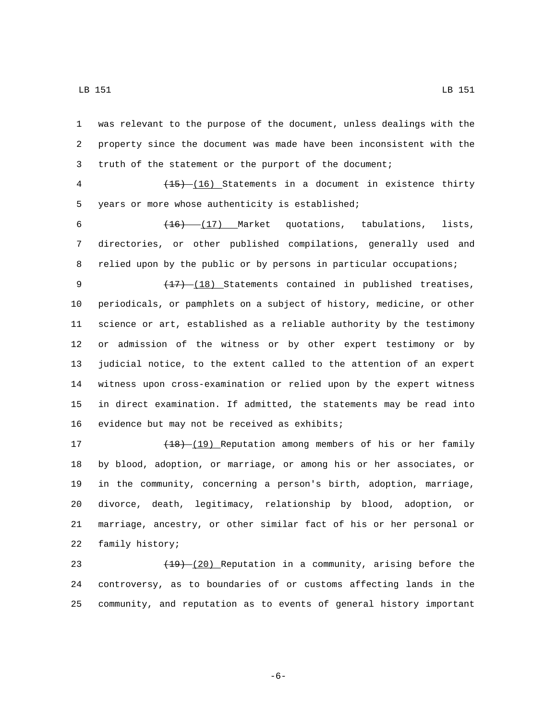was relevant to the purpose of the document, unless dealings with the property since the document was made have been inconsistent with the truth of the statement or the purport of the document;

 (15) (16) Statements in a document in existence thirty 5 years or more whose authenticity is established;

6  $\left(16\right)$   $\left(17\right)$  Market quotations, tabulations, lists, directories, or other published compilations, generally used and relied upon by the public or by persons in particular occupations;

9 (17) (18) Statements contained in published treatises, periodicals, or pamphlets on a subject of history, medicine, or other science or art, established as a reliable authority by the testimony or admission of the witness or by other expert testimony or by judicial notice, to the extent called to the attention of an expert witness upon cross-examination or relied upon by the expert witness in direct examination. If admitted, the statements may be read into 16 evidence but may not be received as exhibits;

17 (18) (19) Reputation among members of his or her family by blood, adoption, or marriage, or among his or her associates, or in the community, concerning a person's birth, adoption, marriage, divorce, death, legitimacy, relationship by blood, adoption, or marriage, ancestry, or other similar fact of his or her personal or 22 family history;

23  $(19)-(20)$  Reputation in a community, arising before the controversy, as to boundaries of or customs affecting lands in the community, and reputation as to events of general history important

-6-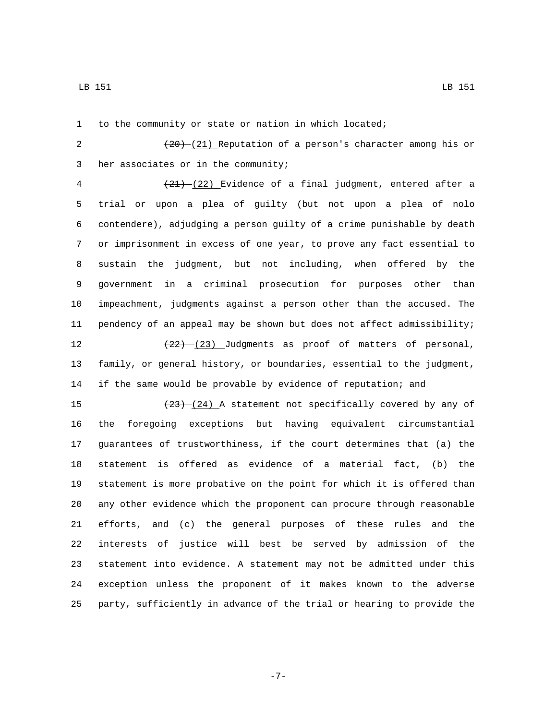to the community or state or nation in which located;

2  $(20) - (21)$  Reputation of a person's character among his or 3 her associates or in the community;

 $(21)$   $(22)$  Evidence of a final judgment, entered after a trial or upon a plea of guilty (but not upon a plea of nolo contendere), adjudging a person guilty of a crime punishable by death or imprisonment in excess of one year, to prove any fact essential to sustain the judgment, but not including, when offered by the government in a criminal prosecution for purposes other than impeachment, judgments against a person other than the accused. The pendency of an appeal may be shown but does not affect admissibility;  $(22)$   $(23)$  Judgments as proof of matters of personal,

 family, or general history, or boundaries, essential to the judgment, if the same would be provable by evidence of reputation; and

 $\left(\frac{23}{24}\right)$  A statement not specifically covered by any of the foregoing exceptions but having equivalent circumstantial guarantees of trustworthiness, if the court determines that (a) the statement is offered as evidence of a material fact, (b) the statement is more probative on the point for which it is offered than any other evidence which the proponent can procure through reasonable efforts, and (c) the general purposes of these rules and the interests of justice will best be served by admission of the statement into evidence. A statement may not be admitted under this exception unless the proponent of it makes known to the adverse party, sufficiently in advance of the trial or hearing to provide the

-7-